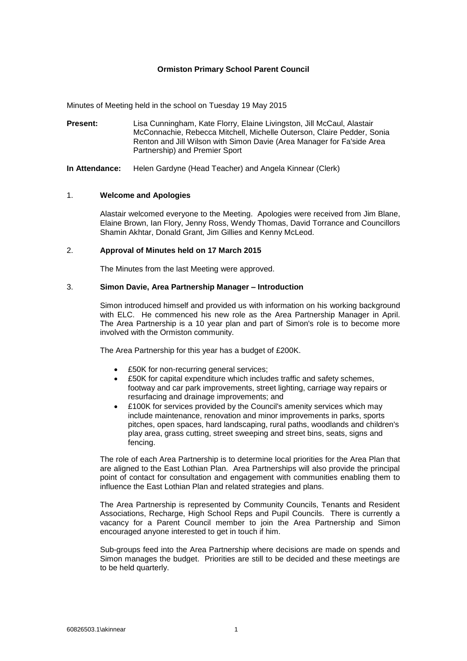# **Ormiston Primary School Parent Council**

Minutes of Meeting held in the school on Tuesday 19 May 2015

**Present:** Lisa Cunningham, Kate Florry, Elaine Livingston, Jill McCaul, Alastair McConnachie, Rebecca Mitchell, Michelle Outerson, Claire Pedder, Sonia Renton and Jill Wilson with Simon Davie (Area Manager for Fa'side Area Partnership) and Premier Sport

**In Attendance:** Helen Gardyne (Head Teacher) and Angela Kinnear (Clerk)

#### 1. **Welcome and Apologies**

Alastair welcomed everyone to the Meeting. Apologies were received from Jim Blane, Elaine Brown, Ian Flory, Jenny Ross, Wendy Thomas, David Torrance and Councillors Shamin Akhtar, Donald Grant, Jim Gillies and Kenny McLeod.

### 2. **Approval of Minutes held on 17 March 2015**

The Minutes from the last Meeting were approved.

### 3. **Simon Davie, Area Partnership Manager – Introduction**

Simon introduced himself and provided us with information on his working background with ELC. He commenced his new role as the Area Partnership Manager in April. The Area Partnership is a 10 year plan and part of Simon's role is to become more involved with the Ormiston community.

The Area Partnership for this year has a budget of £200K.

- £50K for non-recurring general services;
- £50K for capital expenditure which includes traffic and safety schemes, footway and car park improvements, street lighting, carriage way repairs or resurfacing and drainage improvements; and
- £100K for services provided by the Council's amenity services which may include maintenance, renovation and minor improvements in parks, sports pitches, open spaces, hard landscaping, rural paths, woodlands and children's play area, grass cutting, street sweeping and street bins, seats, signs and fencing.

The role of each Area Partnership is to determine local priorities for the Area Plan that are aligned to the East Lothian Plan. Area Partnerships will also provide the principal point of contact for consultation and engagement with communities enabling them to influence the East Lothian Plan and related strategies and plans.

The Area Partnership is represented by Community Councils, Tenants and Resident Associations, Recharge, High School Reps and Pupil Councils. There is currently a vacancy for a Parent Council member to join the Area Partnership and Simon encouraged anyone interested to get in touch if him.

Sub-groups feed into the Area Partnership where decisions are made on spends and Simon manages the budget. Priorities are still to be decided and these meetings are to be held quarterly.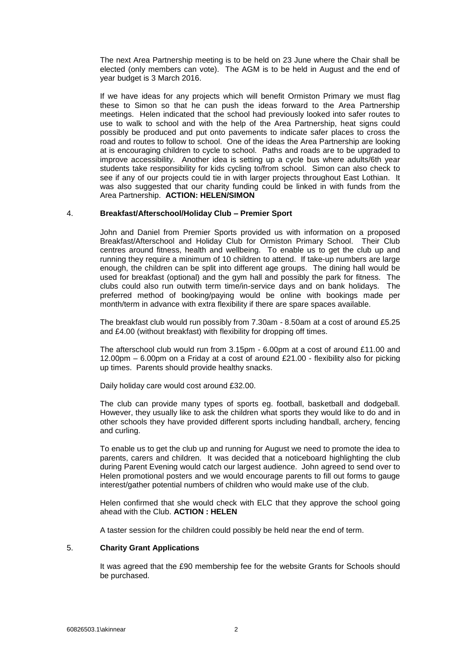The next Area Partnership meeting is to be held on 23 June where the Chair shall be elected (only members can vote). The AGM is to be held in August and the end of year budget is 3 March 2016.

If we have ideas for any projects which will benefit Ormiston Primary we must flag these to Simon so that he can push the ideas forward to the Area Partnership meetings. Helen indicated that the school had previously looked into safer routes to use to walk to school and with the help of the Area Partnership, heat signs could possibly be produced and put onto pavements to indicate safer places to cross the road and routes to follow to school. One of the ideas the Area Partnership are looking at is encouraging children to cycle to school. Paths and roads are to be upgraded to improve accessibility. Another idea is setting up a cycle bus where adults/6th year students take responsibility for kids cycling to/from school. Simon can also check to see if any of our projects could tie in with larger projects throughout East Lothian. It was also suggested that our charity funding could be linked in with funds from the Area Partnership. **ACTION: HELEN/SIMON**

### 4. **Breakfast/Afterschool/Holiday Club – Premier Sport**

John and Daniel from Premier Sports provided us with information on a proposed Breakfast/Afterschool and Holiday Club for Ormiston Primary School. Their Club centres around fitness, health and wellbeing. To enable us to get the club up and running they require a minimum of 10 children to attend. If take-up numbers are large enough, the children can be split into different age groups. The dining hall would be used for breakfast (optional) and the gym hall and possibly the park for fitness. The clubs could also run outwith term time/in-service days and on bank holidays. The preferred method of booking/paying would be online with bookings made per month/term in advance with extra flexibility if there are spare spaces available.

The breakfast club would run possibly from 7.30am - 8.50am at a cost of around £5.25 and £4.00 (without breakfast) with flexibility for dropping off times.

The afterschool club would run from 3.15pm - 6.00pm at a cost of around £11.00 and 12.00pm – 6.00pm on a Friday at a cost of around £21.00 - flexibility also for picking up times. Parents should provide healthy snacks.

Daily holiday care would cost around £32.00.

The club can provide many types of sports eg. football, basketball and dodgeball. However, they usually like to ask the children what sports they would like to do and in other schools they have provided different sports including handball, archery, fencing and curling.

To enable us to get the club up and running for August we need to promote the idea to parents, carers and children. It was decided that a noticeboard highlighting the club during Parent Evening would catch our largest audience. John agreed to send over to Helen promotional posters and we would encourage parents to fill out forms to gauge interest/gather potential numbers of children who would make use of the club.

Helen confirmed that she would check with ELC that they approve the school going ahead with the Club. **ACTION : HELEN**

A taster session for the children could possibly be held near the end of term.

### 5. **Charity Grant Applications**

It was agreed that the £90 membership fee for the website Grants for Schools should be purchased.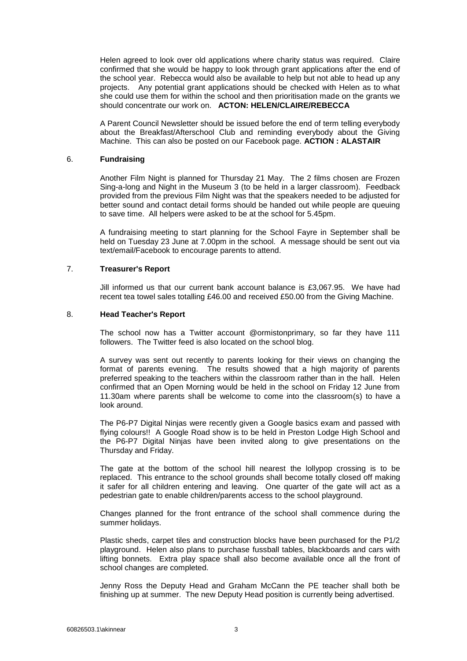Helen agreed to look over old applications where charity status was required. Claire confirmed that she would be happy to look through grant applications after the end of the school year. Rebecca would also be available to help but not able to head up any projects. Any potential grant applications should be checked with Helen as to what she could use them for within the school and then prioritisation made on the grants we should concentrate our work on. **ACTON: HELEN/CLAIRE/REBECCA**

A Parent Council Newsletter should be issued before the end of term telling everybody about the Breakfast/Afterschool Club and reminding everybody about the Giving Machine. This can also be posted on our Facebook page. **ACTION : ALASTAIR**

### 6. **Fundraising**

Another Film Night is planned for Thursday 21 May. The 2 films chosen are Frozen Sing-a-long and Night in the Museum 3 (to be held in a larger classroom). Feedback provided from the previous Film Night was that the speakers needed to be adjusted for better sound and contact detail forms should be handed out while people are queuing to save time. All helpers were asked to be at the school for 5.45pm.

A fundraising meeting to start planning for the School Fayre in September shall be held on Tuesday 23 June at 7.00pm in the school. A message should be sent out via text/email/Facebook to encourage parents to attend.

### 7. **Treasurer's Report**

Jill informed us that our current bank account balance is £3,067.95. We have had recent tea towel sales totalling £46.00 and received £50.00 from the Giving Machine.

### 8. **Head Teacher's Report**

The school now has a Twitter account @ormistonprimary, so far they have 111 followers. The Twitter feed is also located on the school blog.

A survey was sent out recently to parents looking for their views on changing the format of parents evening. The results showed that a high majority of parents preferred speaking to the teachers within the classroom rather than in the hall. Helen confirmed that an Open Morning would be held in the school on Friday 12 June from 11.30am where parents shall be welcome to come into the classroom(s) to have a look around.

The P6-P7 Digital Ninjas were recently given a Google basics exam and passed with flying colours!! A Google Road show is to be held in Preston Lodge High School and the P6-P7 Digital Ninjas have been invited along to give presentations on the Thursday and Friday.

The gate at the bottom of the school hill nearest the lollypop crossing is to be replaced. This entrance to the school grounds shall become totally closed off making it safer for all children entering and leaving. One quarter of the gate will act as a pedestrian gate to enable children/parents access to the school playground.

Changes planned for the front entrance of the school shall commence during the summer holidays.

Plastic sheds, carpet tiles and construction blocks have been purchased for the P1/2 playground. Helen also plans to purchase fussball tables, blackboards and cars with lifting bonnets. Extra play space shall also become available once all the front of school changes are completed.

Jenny Ross the Deputy Head and Graham McCann the PE teacher shall both be finishing up at summer. The new Deputy Head position is currently being advertised.